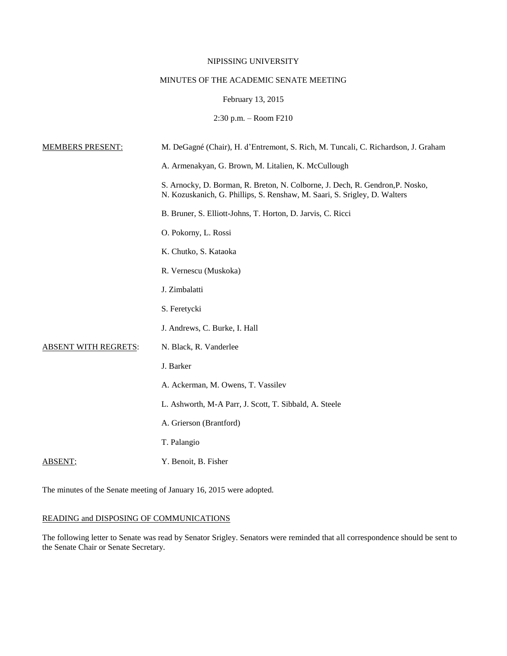### NIPISSING UNIVERSITY

# MINUTES OF THE ACADEMIC SENATE MEETING

### February 13, 2015

2:30 p.m. – Room F210

| <b>MEMBERS PRESENT:</b>     | M. DeGagné (Chair), H. d'Entremont, S. Rich, M. Tuncali, C. Richardson, J. Graham                                                                          |
|-----------------------------|------------------------------------------------------------------------------------------------------------------------------------------------------------|
|                             | A. Armenakyan, G. Brown, M. Litalien, K. McCullough                                                                                                        |
|                             | S. Arnocky, D. Borman, R. Breton, N. Colborne, J. Dech, R. Gendron, P. Nosko,<br>N. Kozuskanich, G. Phillips, S. Renshaw, M. Saari, S. Srigley, D. Walters |
|                             | B. Bruner, S. Elliott-Johns, T. Horton, D. Jarvis, C. Ricci                                                                                                |
|                             | O. Pokorny, L. Rossi                                                                                                                                       |
|                             | K. Chutko, S. Kataoka                                                                                                                                      |
|                             | R. Vernescu (Muskoka)                                                                                                                                      |
|                             | J. Zimbalatti                                                                                                                                              |
|                             | S. Feretycki                                                                                                                                               |
|                             | J. Andrews, C. Burke, I. Hall                                                                                                                              |
| <b>ABSENT WITH REGRETS:</b> | N. Black, R. Vanderlee                                                                                                                                     |
|                             | J. Barker                                                                                                                                                  |
|                             | A. Ackerman, M. Owens, T. Vassilev                                                                                                                         |
|                             | L. Ashworth, M-A Parr, J. Scott, T. Sibbald, A. Steele                                                                                                     |
|                             | A. Grierson (Brantford)                                                                                                                                    |
|                             | T. Palangio                                                                                                                                                |
| ABSENT:                     | Y. Benoit, B. Fisher                                                                                                                                       |
|                             |                                                                                                                                                            |

The minutes of the Senate meeting of January 16, 2015 were adopted.

# READING and DISPOSING OF COMMUNICATIONS

The following letter to Senate was read by Senator Srigley. Senators were reminded that all correspondence should be sent to the Senate Chair or Senate Secretary.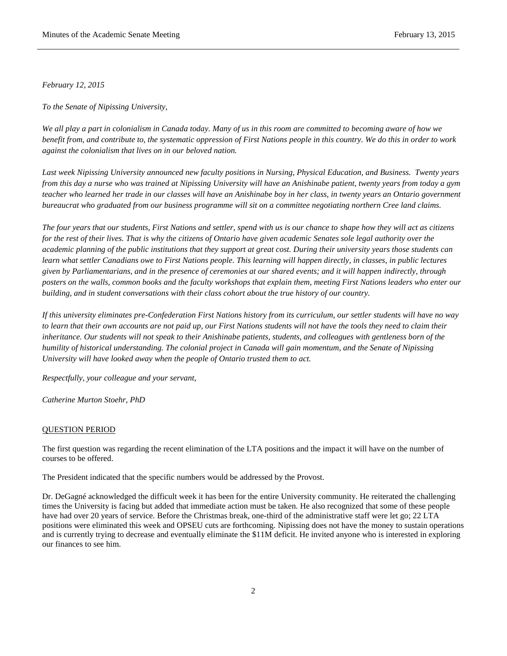*February 12, 2015*

*To the Senate of Nipissing University,*

*We all play a part in colonialism in Canada today. Many of us in this room are committed to becoming aware of how we benefit from, and contribute to, the systematic oppression of First Nations people in this country. We do this in order to work against the colonialism that lives on in our beloved nation.*

*Last week Nipissing University announced new faculty positions in Nursing, Physical Education, and Business. Twenty years from this day a nurse who was trained at Nipissing University will have an Anishinabe patient, twenty years from today a gym teacher who learned her trade in our classes will have an Anishinabe boy in her class, in twenty years an Ontario government bureaucrat who graduated from our business programme will sit on a committee negotiating northern Cree land claims.*

*The four years that our students, First Nations and settler, spend with us is our chance to shape how they will act as citizens for the rest of their lives. That is why the citizens of Ontario have given academic Senates sole legal authority over the academic planning of the public institutions that they support at great cost. During their university years those students can learn what settler Canadians owe to First Nations people. This learning will happen directly, in classes, in public lectures given by Parliamentarians, and in the presence of ceremonies at our shared events; and it will happen indirectly, through posters on the walls, common books and the faculty workshops that explain them, meeting First Nations leaders who enter our building, and in student conversations with their class cohort about the true history of our country.*

*If this university eliminates pre-Confederation First Nations history from its curriculum, our settler students will have no way to learn that their own accounts are not paid up, our First Nations students will not have the tools they need to claim their inheritance. Our students will not speak to their Anishinabe patients, students, and colleagues with gentleness born of the humility of historical understanding. The colonial project in Canada will gain momentum, and the Senate of Nipissing University will have looked away when the people of Ontario trusted them to act.*

*Respectfully, your colleague and your servant,*

*Catherine Murton Stoehr, PhD*

#### QUESTION PERIOD

The first question was regarding the recent elimination of the LTA positions and the impact it will have on the number of courses to be offered.

The President indicated that the specific numbers would be addressed by the Provost.

Dr. DeGagné acknowledged the difficult week it has been for the entire University community. He reiterated the challenging times the University is facing but added that immediate action must be taken. He also recognized that some of these people have had over 20 years of service. Before the Christmas break, one-third of the administrative staff were let go; 22 LTA positions were eliminated this week and OPSEU cuts are forthcoming. Nipissing does not have the money to sustain operations and is currently trying to decrease and eventually eliminate the \$11M deficit. He invited anyone who is interested in exploring our finances to see him.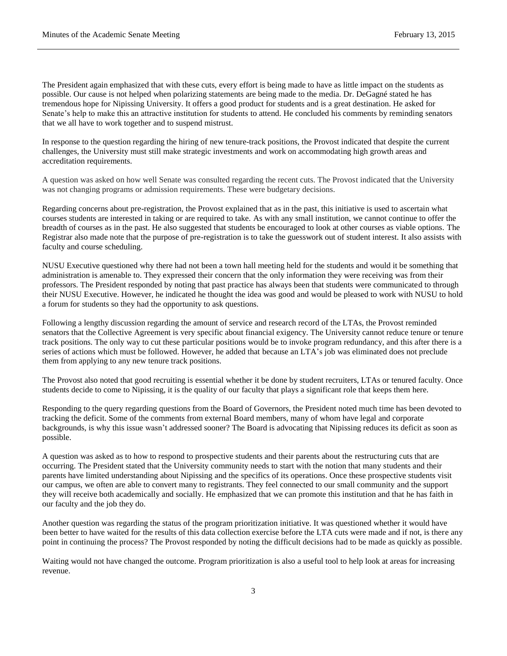The President again emphasized that with these cuts, every effort is being made to have as little impact on the students as possible. Our cause is not helped when polarizing statements are being made to the media. Dr. DeGagné stated he has tremendous hope for Nipissing University. It offers a good product for students and is a great destination. He asked for Senate's help to make this an attractive institution for students to attend. He concluded his comments by reminding senators that we all have to work together and to suspend mistrust.

In response to the question regarding the hiring of new tenure-track positions, the Provost indicated that despite the current challenges, the University must still make strategic investments and work on accommodating high growth areas and accreditation requirements.

A question was asked on how well Senate was consulted regarding the recent cuts. The Provost indicated that the University was not changing programs or admission requirements. These were budgetary decisions.

Regarding concerns about pre-registration, the Provost explained that as in the past, this initiative is used to ascertain what courses students are interested in taking or are required to take. As with any small institution, we cannot continue to offer the breadth of courses as in the past. He also suggested that students be encouraged to look at other courses as viable options. The Registrar also made note that the purpose of pre-registration is to take the guesswork out of student interest. It also assists with faculty and course scheduling.

NUSU Executive questioned why there had not been a town hall meeting held for the students and would it be something that administration is amenable to. They expressed their concern that the only information they were receiving was from their professors. The President responded by noting that past practice has always been that students were communicated to through their NUSU Executive. However, he indicated he thought the idea was good and would be pleased to work with NUSU to hold a forum for students so they had the opportunity to ask questions.

Following a lengthy discussion regarding the amount of service and research record of the LTAs, the Provost reminded senators that the Collective Agreement is very specific about financial exigency. The University cannot reduce tenure or tenure track positions. The only way to cut these particular positions would be to invoke program redundancy, and this after there is a series of actions which must be followed. However, he added that because an LTA's job was eliminated does not preclude them from applying to any new tenure track positions.

The Provost also noted that good recruiting is essential whether it be done by student recruiters, LTAs or tenured faculty. Once students decide to come to Nipissing, it is the quality of our faculty that plays a significant role that keeps them here.

Responding to the query regarding questions from the Board of Governors, the President noted much time has been devoted to tracking the deficit. Some of the comments from external Board members, many of whom have legal and corporate backgrounds, is why this issue wasn't addressed sooner? The Board is advocating that Nipissing reduces its deficit as soon as possible.

A question was asked as to how to respond to prospective students and their parents about the restructuring cuts that are occurring. The President stated that the University community needs to start with the notion that many students and their parents have limited understanding about Nipissing and the specifics of its operations. Once these prospective students visit our campus, we often are able to convert many to registrants. They feel connected to our small community and the support they will receive both academically and socially. He emphasized that we can promote this institution and that he has faith in our faculty and the job they do.

Another question was regarding the status of the program prioritization initiative. It was questioned whether it would have been better to have waited for the results of this data collection exercise before the LTA cuts were made and if not, is there any point in continuing the process? The Provost responded by noting the difficult decisions had to be made as quickly as possible.

Waiting would not have changed the outcome. Program prioritization is also a useful tool to help look at areas for increasing revenue.